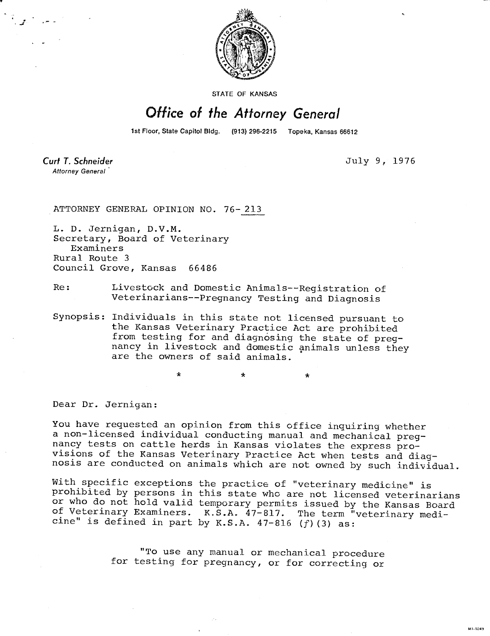

STATE OF KANSAS

## Office of the Attorney General

1st Floor, State Capitol Bldg. (913) 296-2215 Topeka, Kansas 66612

Curt T. Schneider Attorney General

July 9, 1976

HI-1043

ATTORNEY GENERAL OPINION NO. 76- 213

 $\star$ 

L. D. Jernigan, D.V.M. Secretary, Board of Veterinary Examiners Rural Route 3 Council Grove, Kansas 66486

- Re: Livestock and Domestic Animals--Registration of Veterinarians--Pregnancy Testing and Diagnosis
- Synopsis: Individuals in this state not licensed pursuant to the Kansas Veterinary Practice Act are prohibited from testing for and diagnosing the state of pregnancy in livestock and domestic animals unless they are the owners of said animals.

 $\star$ 

Dear Dr. Jernigan:

You have requested an opinion from this office inquiring whether a non-licensed individual conducting manual and mechanical pregnancy tests on cattle herds in Kansas violates the express provisions of the Kansas Veterinary Practice Act when tests and diagnosis are conducted on animals which are not owned by such individual.

With specific exceptions the practice of "veterinary medicine" is prohibited by persons in this state who are not licensed veterinarians or who do not hold valid temporary permits issued by the Kansas Board of Veterinary Examiners. K.S.A. 47-817. The term "veterinary medicine" is defined in part by K.S.A.  $47-816$  (f)(3) as:

> "To use any manual or mechanical procedure for testing for pregnancy, or for correcting or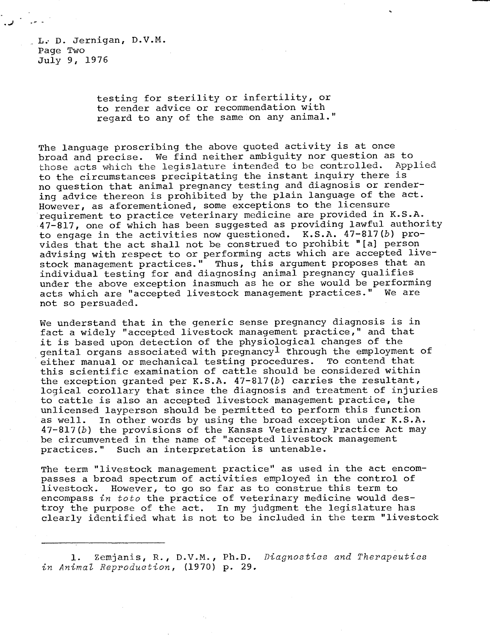L. D. Jernigan, D.V.M. Page Two July 9, 1976

> testing for sterility or infertility, or to render advice or recommendation with regard to any of the same on any animal."

The language proscribing the above quoted activity is at once broad and precise. We find neither ambiguity nor question as to those acts which the legislature intended to be controlled. Applied to the circumstances precipitating the instant inquiry there is no question that animal pregnancy testing and diagnosis or rendering advice thereon is prohibited by the plain language of the act. However, as aforementioned, some exceptions to the licensure requirement to practice veterinary medicine are provided in K.S.A. 47-817, one of which has been suggested as providing lawful authority to engage in the activities now questioned. K.S.A. 47-817(b) provides that the act shall not be construed to prohibit "[a] person advising with respect to or performing acts which are accepted livestock management practices." Thus, this argument proposes that an individual testing for and diagnosing animal pregnancy qualifies under the above exception inasmuch as he or she would be performing acts which are "accepted livestock management practices." We are not so persuaded.

We understand that in the generic sense pregnancy diagnosis is in fact a widely "accepted livestock management practice," and that it is based upon detection of the physiological changes of the genital organs associated with pregnancy<sup>1</sup> through the employment of either manual or mechanical testing procedures. To contend that this scientific examination of cattle should be considered within the exception granted per K.S.A.  $47-817(b)$  carries the resultant, logical corollary that since the diagnosis and treatment of injuries to cattle is also an accepted livestock management practice, the unlicensed layperson should be permitted to perform this function as well. In other words by using the broad exception under K.S.A. 47-817(b) the provisions of the Kansas Veterinary Practice Act may be circumvented in the name of "accepted livestock management practices." Such an interpretation is untenable.

The term "livestock management practice" as used in the act encompasses a broad spectrum of activities employed in the control of livestock. However, to go so far as to construe this term to encompass in toto the practice of veterinary medicine would destroy the purpose of the act. In my judgment the legislature has clearly identified what is not to be included in the term "livestock

<sup>1.</sup> Zemjanis, R., D.V.M., Ph.D. Diagnostics and Therapeutics in Animal Reproduction, (1970) p. 29.